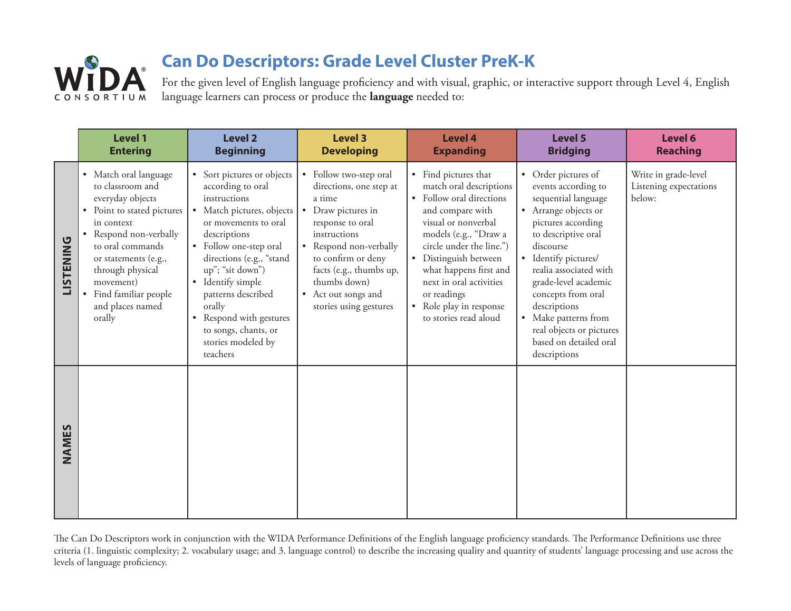

For the given level of English language proficiency and with visual, graphic, or interactive support through Level 4, English language learners can process or produce the **language** needed to:

|                  | <b>Level 1</b><br><b>Entering</b>                                                                                                                                                                                                                                        | <b>Level 2</b><br><b>Beginning</b>                                                                                                                                                                                                                                                                                                                                  | <b>Level 3</b><br><b>Developing</b>                                                                                                                                                                                                                                        | <b>Level 4</b><br><b>Expanding</b>                                                                                                                                                                                                                                                                                                                            | Level 5<br><b>Bridging</b>                                                                                                                                                                                                                                                                                                                                               | Level 6<br><b>Reaching</b>                               |
|------------------|--------------------------------------------------------------------------------------------------------------------------------------------------------------------------------------------------------------------------------------------------------------------------|---------------------------------------------------------------------------------------------------------------------------------------------------------------------------------------------------------------------------------------------------------------------------------------------------------------------------------------------------------------------|----------------------------------------------------------------------------------------------------------------------------------------------------------------------------------------------------------------------------------------------------------------------------|---------------------------------------------------------------------------------------------------------------------------------------------------------------------------------------------------------------------------------------------------------------------------------------------------------------------------------------------------------------|--------------------------------------------------------------------------------------------------------------------------------------------------------------------------------------------------------------------------------------------------------------------------------------------------------------------------------------------------------------------------|----------------------------------------------------------|
| <b>LISTENING</b> | • Match oral language<br>to classroom and<br>everyday objects<br>• Point to stated pictures<br>in context<br>• Respond non-verbally<br>to oral commands<br>or statements (e.g.,<br>through physical<br>movement)<br>• Find familiar people<br>and places named<br>orally | • Sort pictures or objects<br>according to oral<br>instructions<br>• Match pictures, objects<br>or movements to oral<br>descriptions<br>• Follow one-step oral<br>directions (e.g., "stand<br>up"; "sit down")<br>• Identify simple<br>patterns described<br>orally<br>Respond with gestures<br>$\bullet$<br>to songs, chants, or<br>stories modeled by<br>teachers | • Follow two-step oral<br>directions, one step at<br>a time<br>Draw pictures in<br>$\bullet$<br>response to oral<br>instructions<br>Respond non-verbally<br>to confirm or deny<br>facts (e.g., thumbs up,<br>thumbs down)<br>• Act out songs and<br>stories using gestures | • Find pictures that<br>match oral descriptions<br>Follow oral directions<br>$\bullet$<br>and compare with<br>visual or nonverbal<br>models (e.g., "Draw a<br>circle under the line.")<br>Distinguish between<br>$\bullet$<br>what happens first and<br>next in oral activities<br>or readings<br>Role play in response<br>$\bullet$<br>to stories read aloud | Order pictures of<br>$\bullet$<br>events according to<br>sequential language<br>• Arrange objects or<br>pictures according<br>to descriptive oral<br>discourse<br>Identify pictures/<br>realia associated with<br>grade-level academic<br>concepts from oral<br>descriptions<br>Make patterns from<br>real objects or pictures<br>based on detailed oral<br>descriptions | Write in grade-level<br>Listening expectations<br>below: |
| NAMES            |                                                                                                                                                                                                                                                                          |                                                                                                                                                                                                                                                                                                                                                                     |                                                                                                                                                                                                                                                                            |                                                                                                                                                                                                                                                                                                                                                               |                                                                                                                                                                                                                                                                                                                                                                          |                                                          |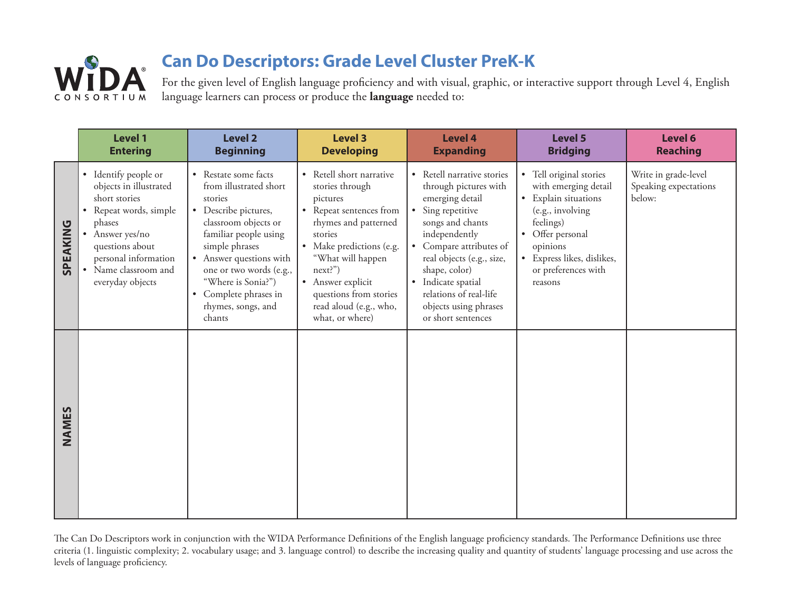

For the given level of English language proficiency and with visual, graphic, or interactive support through Level 4, English language learners can process or produce the **language** needed to:

|          | <b>Level 1</b><br><b>Entering</b>                                                                                                                                                                             | <b>Level 2</b><br><b>Beginning</b>                                                                                                                                                                                                                                                        | <b>Level 3</b><br><b>Developing</b>                                                                                                                                                                                                                                           | <b>Level 4</b><br><b>Expanding</b>                                                                                                                                                                                                                                                                                  | <b>Level 5</b><br><b>Bridging</b>                                                                                                                                                                                                       | Level 6<br><b>Reaching</b>                              |
|----------|---------------------------------------------------------------------------------------------------------------------------------------------------------------------------------------------------------------|-------------------------------------------------------------------------------------------------------------------------------------------------------------------------------------------------------------------------------------------------------------------------------------------|-------------------------------------------------------------------------------------------------------------------------------------------------------------------------------------------------------------------------------------------------------------------------------|---------------------------------------------------------------------------------------------------------------------------------------------------------------------------------------------------------------------------------------------------------------------------------------------------------------------|-----------------------------------------------------------------------------------------------------------------------------------------------------------------------------------------------------------------------------------------|---------------------------------------------------------|
| SPEAKING | • Identify people or<br>objects in illustrated<br>short stories<br>• Repeat words, simple<br>phases<br>• Answer yes/no<br>questions about<br>personal information<br>• Name classroom and<br>everyday objects | • Restate some facts<br>from illustrated short<br>stories<br>• Describe pictures,<br>classroom objects or<br>familiar people using<br>simple phrases<br>• Answer questions with<br>one or two words (e.g.,<br>"Where is Sonia?")<br>• Complete phrases in<br>rhymes, songs, and<br>chants | • Retell short narrative<br>stories through<br>pictures<br>• Repeat sentences from<br>rhymes and patterned<br>stories<br>• Make predictions (e.g.<br>"What will happen<br>next?")<br>• Answer explicit<br>questions from stories<br>read aloud (e.g., who,<br>what, or where) | • Retell narrative stories<br>through pictures with<br>emerging detail<br>• Sing repetitive<br>songs and chants<br>independently<br>• Compare attributes of<br>real objects (e.g., size,<br>shape, color)<br>Indicate spatial<br>$\bullet$<br>relations of real-life<br>objects using phrases<br>or short sentences | Tell original stories<br>$\bullet$<br>with emerging detail<br>Explain situations<br>$\bullet$<br>(e.g., involving<br>feelings)<br>Offer personal<br>$\bullet$<br>opinions<br>Express likes, dislikes,<br>or preferences with<br>reasons | Write in grade-level<br>Speaking expectations<br>below: |
| NAMES    |                                                                                                                                                                                                               |                                                                                                                                                                                                                                                                                           |                                                                                                                                                                                                                                                                               |                                                                                                                                                                                                                                                                                                                     |                                                                                                                                                                                                                                         |                                                         |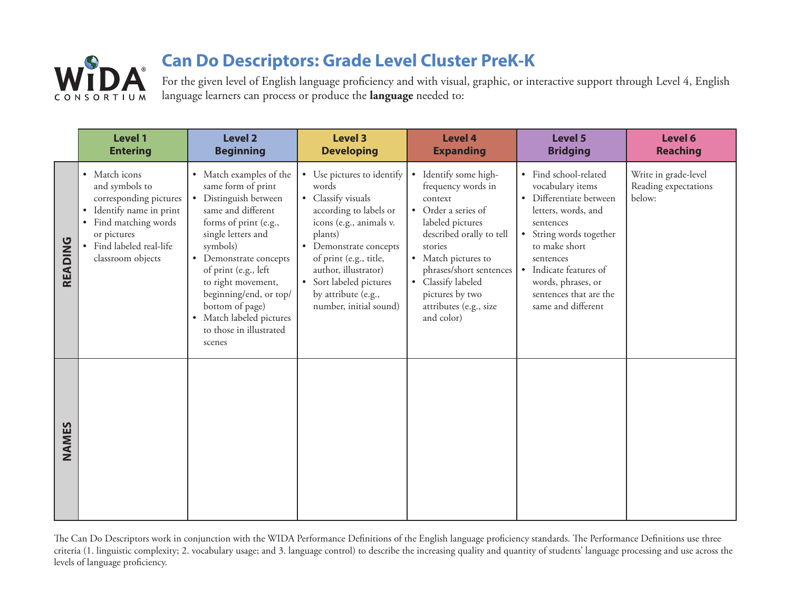

For the given level of English language proficiency and with visual, graphic, or interactive support through Level 4, English language learners can process or produce the **language** needed to:

|         | Level 1<br><b>Entering</b>                                                                                                                                                 | <b>Level 2</b><br><b>Beginning</b>                                                                                                                                                                                                                                                                                                            | <b>Level 3</b><br><b>Developing</b>                                                                                                                                                                                                                                                            | <b>Level 4</b><br><b>Expanding</b>                                                                                                                                                                                                                                                                | Level 5<br><b>Bridging</b>                                                                                                                                                                                                                                                              | Level 6<br><b>Reaching</b>                             |
|---------|----------------------------------------------------------------------------------------------------------------------------------------------------------------------------|-----------------------------------------------------------------------------------------------------------------------------------------------------------------------------------------------------------------------------------------------------------------------------------------------------------------------------------------------|------------------------------------------------------------------------------------------------------------------------------------------------------------------------------------------------------------------------------------------------------------------------------------------------|---------------------------------------------------------------------------------------------------------------------------------------------------------------------------------------------------------------------------------------------------------------------------------------------------|-----------------------------------------------------------------------------------------------------------------------------------------------------------------------------------------------------------------------------------------------------------------------------------------|--------------------------------------------------------|
| READING | • Match icons<br>and symbols to<br>corresponding pictures<br>• Identify name in print<br>Find matching words<br>or pictures<br>Find labeled real-life<br>classroom objects | • Match examples of the<br>same form of print<br>• Distinguish between<br>same and different<br>forms of print (e.g.,<br>single letters and<br>symbols)<br>• Demonstrate concepts<br>of print (e.g., left<br>to right movement,<br>beginning/end, or top/<br>bottom of page)<br>• Match labeled pictures<br>to those in illustrated<br>scenes | • Use pictures to identify<br>words<br>• Classify visuals<br>according to labels or<br>icons (e.g., animals v.<br>plants)<br>Demonstrate concepts<br>$\bullet$ .<br>of print (e.g., title,<br>author, illustrator)<br>• Sort labeled pictures<br>by attribute (e.g.,<br>number, initial sound) | Identify some high-<br>$\bullet$<br>frequency words in<br>context<br>• Order a series of<br>labeled pictures<br>described orally to tell<br>stories<br>• Match pictures to<br>phrases/short sentences<br>Classify labeled<br>$\bullet$<br>pictures by two<br>attributes (e.g., size<br>and color) | · Find school-related<br>vocabulary items<br>Differentiate between<br>$\bullet$<br>letters, words, and<br>sentences<br>String words together<br>$\bullet$<br>to make short<br>sentences<br>• Indicate features of<br>words, phrases, or<br>sentences that are the<br>same and different | Write in grade-level<br>Reading expectations<br>below: |
| NAMES   |                                                                                                                                                                            |                                                                                                                                                                                                                                                                                                                                               |                                                                                                                                                                                                                                                                                                |                                                                                                                                                                                                                                                                                                   |                                                                                                                                                                                                                                                                                         |                                                        |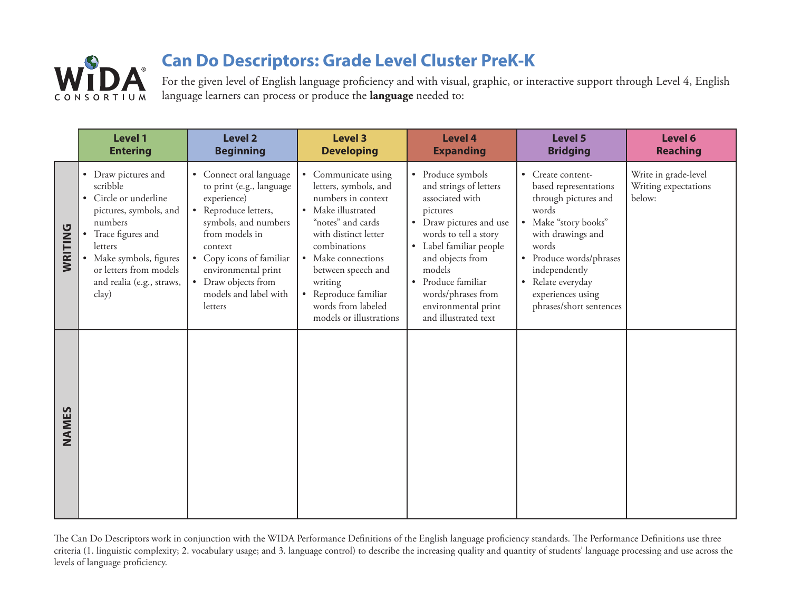

For the given level of English language proficiency and with visual, graphic, or interactive support through Level 4, English language learners can process or produce the **language** needed to:

|         | <b>Level 1</b><br><b>Entering</b>                                                                                                                                                                                    | <b>Level 2</b><br><b>Beginning</b>                                                                                                                                                                                                                                       | <b>Level 3</b><br><b>Developing</b>                                                                                                                                                                                                                                                              | <b>Level 4</b><br><b>Expanding</b>                                                                                                                                                                                                                                                                       | Level 5<br><b>Bridging</b>                                                                                                                                                                                                                                             | Level 6<br><b>Reaching</b>                             |
|---------|----------------------------------------------------------------------------------------------------------------------------------------------------------------------------------------------------------------------|--------------------------------------------------------------------------------------------------------------------------------------------------------------------------------------------------------------------------------------------------------------------------|--------------------------------------------------------------------------------------------------------------------------------------------------------------------------------------------------------------------------------------------------------------------------------------------------|----------------------------------------------------------------------------------------------------------------------------------------------------------------------------------------------------------------------------------------------------------------------------------------------------------|------------------------------------------------------------------------------------------------------------------------------------------------------------------------------------------------------------------------------------------------------------------------|--------------------------------------------------------|
| WRITING | • Draw pictures and<br>scribble<br>Circle or underline<br>pictures, symbols, and<br>numbers<br>Trace figures and<br>letters<br>Make symbols, figures<br>or letters from models<br>and realia (e.g., straws,<br>clay) | • Connect oral language<br>to print (e.g., language<br>experience)<br>• Reproduce letters,<br>symbols, and numbers<br>from models in<br>context<br>Copy icons of familiar<br>$\bullet$<br>environmental print<br>• Draw objects from<br>models and label with<br>letters | Communicate using<br>$\bullet$<br>letters, symbols, and<br>numbers in context<br>• Make illustrated<br>"notes" and cards<br>with distinct letter<br>combinations<br>• Make connections<br>between speech and<br>writing<br>• Reproduce familiar<br>words from labeled<br>models or illustrations | • Produce symbols<br>and strings of letters<br>associated with<br>pictures<br>Draw pictures and use<br>$\bullet$<br>words to tell a story<br>Label familiar people<br>$\bullet$<br>and objects from<br>models<br>• Produce familiar<br>words/phrases from<br>environmental print<br>and illustrated text | • Create content-<br>based representations<br>through pictures and<br>words<br>Make "story books"<br>$\bullet$<br>with drawings and<br>words<br>Produce words/phrases<br>independently<br>Relate everyday<br>$\bullet$<br>experiences using<br>phrases/short sentences | Write in grade-level<br>Writing expectations<br>below: |
| NAMES   |                                                                                                                                                                                                                      |                                                                                                                                                                                                                                                                          |                                                                                                                                                                                                                                                                                                  |                                                                                                                                                                                                                                                                                                          |                                                                                                                                                                                                                                                                        |                                                        |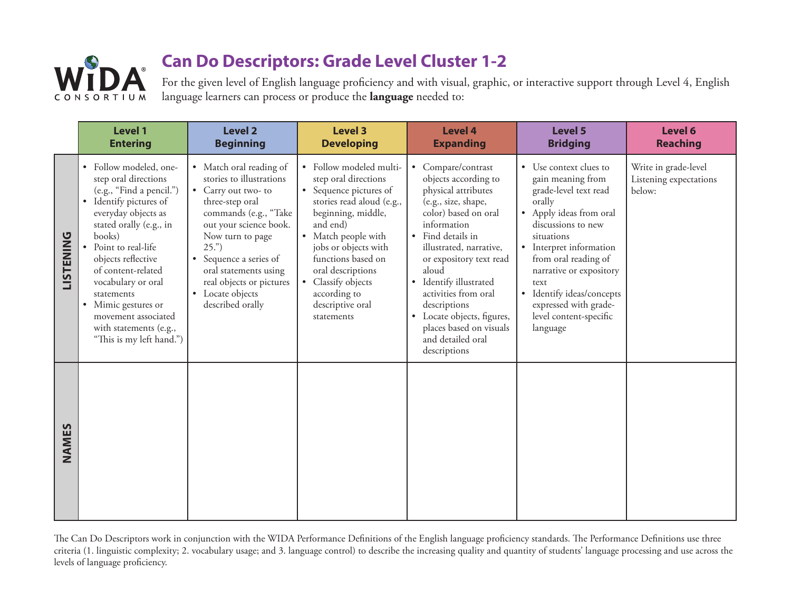

For the given level of English language proficiency and with visual, graphic, or interactive support through Level 4, English language learners can process or produce the **language** needed to:

|                  | <b>Level 1</b><br><b>Entering</b>                                                                                                                                                                                                                                                                                                                                        | <b>Level 2</b><br><b>Beginning</b>                                                                                                                                                                                                                                                                 | <b>Level 3</b><br><b>Developing</b>                                                                                                                                                                                                                                                                        | <b>Level 4</b><br><b>Expanding</b>                                                                                                                                                                                                                                                                                                                                                                                   | <b>Level 5</b><br><b>Bridging</b>                                                                                                                                                                                                                                                                                                                     | Level 6<br><b>Reaching</b>                               |
|------------------|--------------------------------------------------------------------------------------------------------------------------------------------------------------------------------------------------------------------------------------------------------------------------------------------------------------------------------------------------------------------------|----------------------------------------------------------------------------------------------------------------------------------------------------------------------------------------------------------------------------------------------------------------------------------------------------|------------------------------------------------------------------------------------------------------------------------------------------------------------------------------------------------------------------------------------------------------------------------------------------------------------|----------------------------------------------------------------------------------------------------------------------------------------------------------------------------------------------------------------------------------------------------------------------------------------------------------------------------------------------------------------------------------------------------------------------|-------------------------------------------------------------------------------------------------------------------------------------------------------------------------------------------------------------------------------------------------------------------------------------------------------------------------------------------------------|----------------------------------------------------------|
| <b>LISTENING</b> | • Follow modeled, one-<br>step oral directions<br>(e.g., "Find a pencil.")<br>Identify pictures of<br>everyday objects as<br>stated orally (e.g., in<br>books)<br>Point to real-life<br>objects reflective<br>of content-related<br>vocabulary or oral<br>statements<br>• Mimic gestures or<br>movement associated<br>with statements (e.g.,<br>"This is my left hand.") | • Match oral reading of<br>stories to illustrations<br>• Carry out two-to<br>three-step oral<br>commands (e.g., "Take<br>out your science book.<br>Now turn to page<br>25."<br>• Sequence a series of<br>oral statements using<br>real objects or pictures<br>• Locate objects<br>described orally | • Follow modeled multi-<br>step oral directions<br>• Sequence pictures of<br>stories read aloud (e.g.,<br>beginning, middle,<br>and end)<br>• Match people with<br>jobs or objects with<br>functions based on<br>oral descriptions<br>• Classify objects<br>according to<br>descriptive oral<br>statements | Compare/contrast<br>$\bullet$<br>objects according to<br>physical attributes<br>(e.g., size, shape,<br>color) based on oral<br>information<br>• Find details in<br>illustrated, narrative,<br>or expository text read<br>aloud<br>Identify illustrated<br>$\bullet$<br>activities from oral<br>descriptions<br>Locate objects, figures,<br>$\bullet$<br>places based on visuals<br>and detailed oral<br>descriptions | Use context clues to<br>$\bullet$<br>gain meaning from<br>grade-level text read<br>orally<br>• Apply ideas from oral<br>discussions to new<br>situations<br>• Interpret information<br>from oral reading of<br>narrative or expository<br>text<br>Identify ideas/concepts<br>$\bullet$<br>expressed with grade-<br>level content-specific<br>language | Write in grade-level<br>Listening expectations<br>below: |
| NAMES            |                                                                                                                                                                                                                                                                                                                                                                          |                                                                                                                                                                                                                                                                                                    |                                                                                                                                                                                                                                                                                                            |                                                                                                                                                                                                                                                                                                                                                                                                                      |                                                                                                                                                                                                                                                                                                                                                       |                                                          |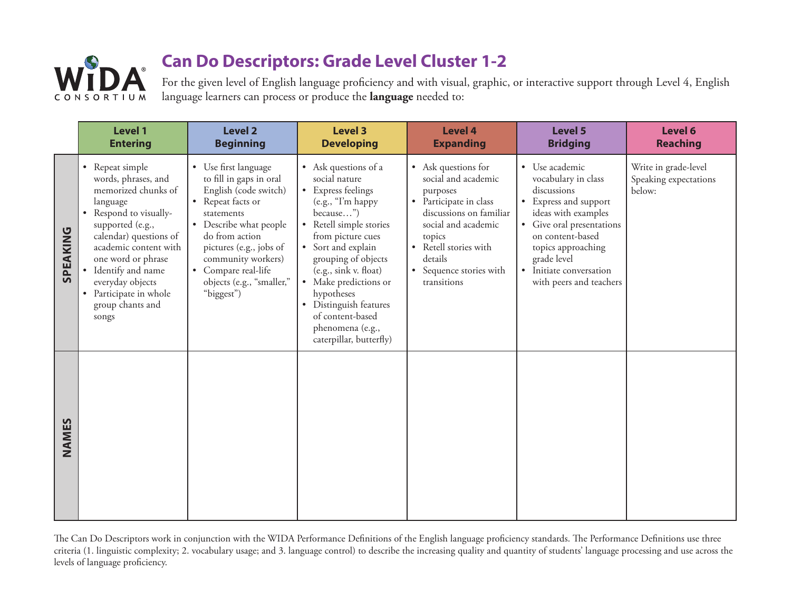

For the given level of English language proficiency and with visual, graphic, or interactive support through Level 4, English language learners can process or produce the **language** needed to:

|          | <b>Level 1</b><br><b>Entering</b>                                                                                                                                                                                                                                                                  | <b>Level 2</b><br><b>Beginning</b>                                                                                                                                                                                                                                         | <b>Level 3</b><br><b>Developing</b>                                                                                                                                                                                                                                                                                                                     | <b>Level 4</b><br><b>Expanding</b>                                                                                                                                                                                         | <b>Level 5</b><br><b>Bridging</b>                                                                                                                                                                                                                           | Level 6<br><b>Reaching</b>                              |
|----------|----------------------------------------------------------------------------------------------------------------------------------------------------------------------------------------------------------------------------------------------------------------------------------------------------|----------------------------------------------------------------------------------------------------------------------------------------------------------------------------------------------------------------------------------------------------------------------------|---------------------------------------------------------------------------------------------------------------------------------------------------------------------------------------------------------------------------------------------------------------------------------------------------------------------------------------------------------|----------------------------------------------------------------------------------------------------------------------------------------------------------------------------------------------------------------------------|-------------------------------------------------------------------------------------------------------------------------------------------------------------------------------------------------------------------------------------------------------------|---------------------------------------------------------|
| SPEAKING | • Repeat simple<br>words, phrases, and<br>memorized chunks of<br>language<br>• Respond to visually-<br>supported (e.g.,<br>calendar) questions of<br>academic content with<br>one word or phrase<br>• Identify and name<br>everyday objects<br>• Participate in whole<br>group chants and<br>songs | • Use first language<br>to fill in gaps in oral<br>English (code switch)<br>• Repeat facts or<br>statements<br>• Describe what people<br>do from action<br>pictures (e.g., jobs of<br>community workers)<br>• Compare real-life<br>objects (e.g., "smaller,"<br>"biggest") | • Ask questions of a<br>social nature<br>• Express feelings<br>(e.g., "I'm happy<br>because")<br>• Retell simple stories<br>from picture cues<br>• Sort and explain<br>grouping of objects<br>(e.g., sink v. float)<br>• Make predictions or<br>hypotheses<br>• Distinguish features<br>of content-based<br>phenomena (e.g.,<br>caterpillar, butterfly) | • Ask questions for<br>social and academic<br>purposes<br>• Participate in class<br>discussions on familiar<br>social and academic<br>topics<br>• Retell stories with<br>details<br>• Sequence stories with<br>transitions | • Use academic<br>vocabulary in class<br>discussions<br>• Express and support<br>ideas with examples<br>• Give oral presentations<br>on content-based<br>topics approaching<br>grade level<br>Initiate conversation<br>$\bullet$<br>with peers and teachers | Write in grade-level<br>Speaking expectations<br>below: |
| NAMES    |                                                                                                                                                                                                                                                                                                    |                                                                                                                                                                                                                                                                            |                                                                                                                                                                                                                                                                                                                                                         |                                                                                                                                                                                                                            |                                                                                                                                                                                                                                                             |                                                         |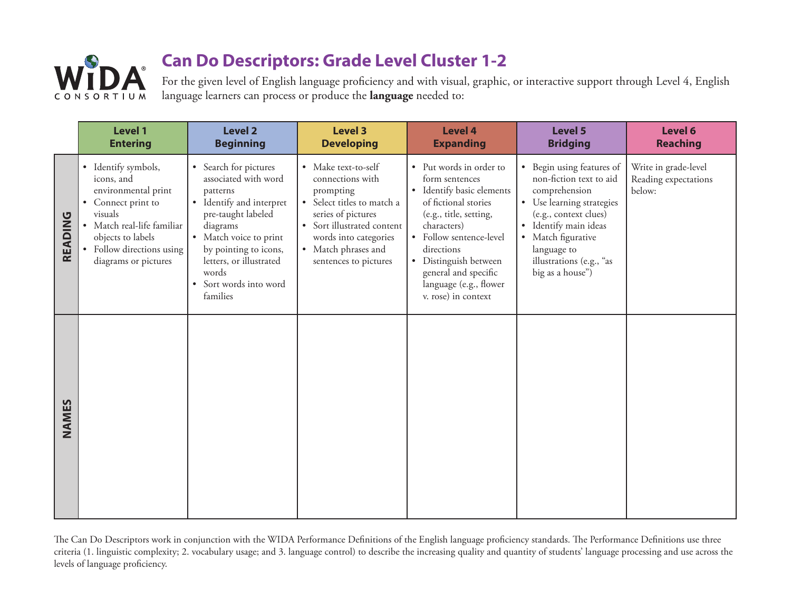

For the given level of English language proficiency and with visual, graphic, or interactive support through Level 4, English language learners can process or produce the **language** needed to:

|         | <b>Level 1</b><br><b>Entering</b>                                                                                                                                                                 | <b>Level 2</b><br><b>Beginning</b>                                                                                                                                                                                                                 | <b>Level 3</b><br><b>Developing</b>                                                                                                                                                                             | <b>Level 4</b><br><b>Expanding</b>                                                                                                                                                                                                                                                 | <b>Level 5</b><br><b>Bridging</b>                                                                                                                                                                                                                               | Level 6<br><b>Reaching</b>                             |
|---------|---------------------------------------------------------------------------------------------------------------------------------------------------------------------------------------------------|----------------------------------------------------------------------------------------------------------------------------------------------------------------------------------------------------------------------------------------------------|-----------------------------------------------------------------------------------------------------------------------------------------------------------------------------------------------------------------|------------------------------------------------------------------------------------------------------------------------------------------------------------------------------------------------------------------------------------------------------------------------------------|-----------------------------------------------------------------------------------------------------------------------------------------------------------------------------------------------------------------------------------------------------------------|--------------------------------------------------------|
| READING | • Identify symbols,<br>icons, and<br>environmental print<br>• Connect print to<br>visuals<br>· Match real-life familiar<br>objects to labels<br>• Follow directions using<br>diagrams or pictures | • Search for pictures<br>associated with word<br>patterns<br>• Identify and interpret<br>pre-taught labeled<br>diagrams<br>• Match voice to print<br>by pointing to icons,<br>letters, or illustrated<br>words<br>Sort words into word<br>families | • Make text-to-self<br>connections with<br>prompting<br>• Select titles to match a<br>series of pictures<br>• Sort illustrated content<br>words into categories<br>• Match phrases and<br>sentences to pictures | • Put words in order to<br>form sentences<br>· Identify basic elements<br>of fictional stories<br>(e.g., title, setting,<br>characters)<br>• Follow sentence-level<br>directions<br>• Distinguish between<br>general and specific<br>language (e.g., flower<br>v. rose) in context | • Begin using features of<br>non-fiction text to aid<br>comprehension<br>• Use learning strategies<br>(e.g., context clues)<br>Identify main ideas<br>$\bullet$<br>Match figurative<br>$\bullet$<br>language to<br>illustrations (e.g., "as<br>big as a house") | Write in grade-level<br>Reading expectations<br>below: |
| NAMES   |                                                                                                                                                                                                   |                                                                                                                                                                                                                                                    |                                                                                                                                                                                                                 |                                                                                                                                                                                                                                                                                    |                                                                                                                                                                                                                                                                 |                                                        |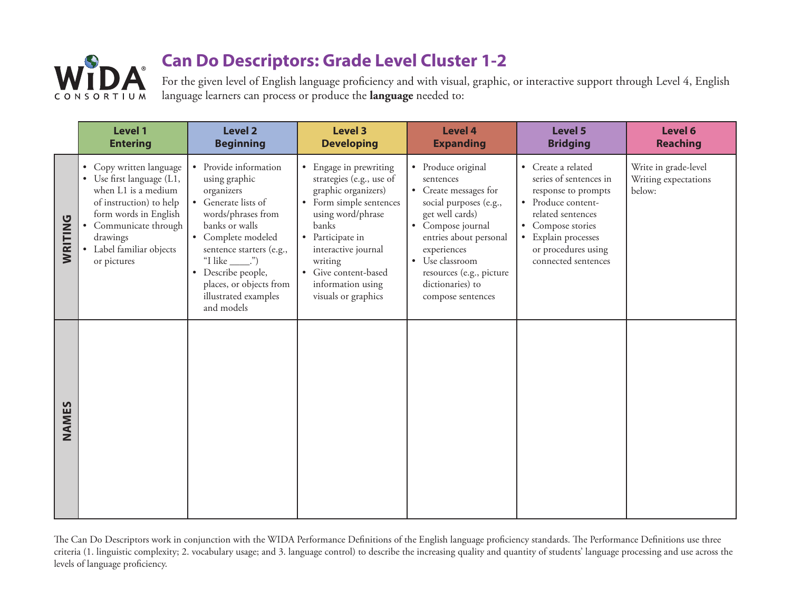

For the given level of English language proficiency and with visual, graphic, or interactive support through Level 4, English language learners can process or produce the **language** needed to:

|         | <b>Level 1</b><br><b>Entering</b>                                                                                                                                                                         | <b>Level 2</b><br><b>Beginning</b>                                                                                                                                                                                                                                                          | <b>Level 3</b><br><b>Developing</b>                                                                                                                                                                                                                                                       | <b>Level 4</b><br><b>Expanding</b>                                                                                                                                                                                                                                     | Level 5<br><b>Bridging</b>                                                                                                                                                                           | Level 6<br><b>Reaching</b>                             |
|---------|-----------------------------------------------------------------------------------------------------------------------------------------------------------------------------------------------------------|---------------------------------------------------------------------------------------------------------------------------------------------------------------------------------------------------------------------------------------------------------------------------------------------|-------------------------------------------------------------------------------------------------------------------------------------------------------------------------------------------------------------------------------------------------------------------------------------------|------------------------------------------------------------------------------------------------------------------------------------------------------------------------------------------------------------------------------------------------------------------------|------------------------------------------------------------------------------------------------------------------------------------------------------------------------------------------------------|--------------------------------------------------------|
| WRITING | • Copy written language<br>Use first language (L1,<br>when L1 is a medium<br>of instruction) to help<br>form words in English<br>Communicate through<br>drawings<br>Label familiar objects<br>or pictures | • Provide information<br>using graphic<br>organizers<br>• Generate lists of<br>words/phrases from<br>banks or walls<br>• Complete modeled<br>sentence starters (e.g.,<br>"I like $\_\$ ")<br>Describe people,<br>$\bullet$<br>places, or objects from<br>illustrated examples<br>and models | Engage in prewriting<br>$\bullet$<br>strategies (e.g., use of<br>graphic organizers)<br>• Form simple sentences<br>using word/phrase<br><b>banks</b><br>• Participate in<br>interactive journal<br>writing<br>Give content-based<br>$\bullet$<br>information using<br>visuals or graphics | • Produce original<br>sentences<br>• Create messages for<br>social purposes (e.g.,<br>get well cards)<br>• Compose journal<br>entries about personal<br>experiences<br>Use classroom<br>$\bullet$<br>resources (e.g., picture<br>dictionaries) to<br>compose sentences | • Create a related<br>series of sentences in<br>response to prompts<br>• Produce content-<br>related sentences<br>Compose stories<br>Explain processes<br>or procedures using<br>connected sentences | Write in grade-level<br>Writing expectations<br>below: |
| NAMES   |                                                                                                                                                                                                           |                                                                                                                                                                                                                                                                                             |                                                                                                                                                                                                                                                                                           |                                                                                                                                                                                                                                                                        |                                                                                                                                                                                                      |                                                        |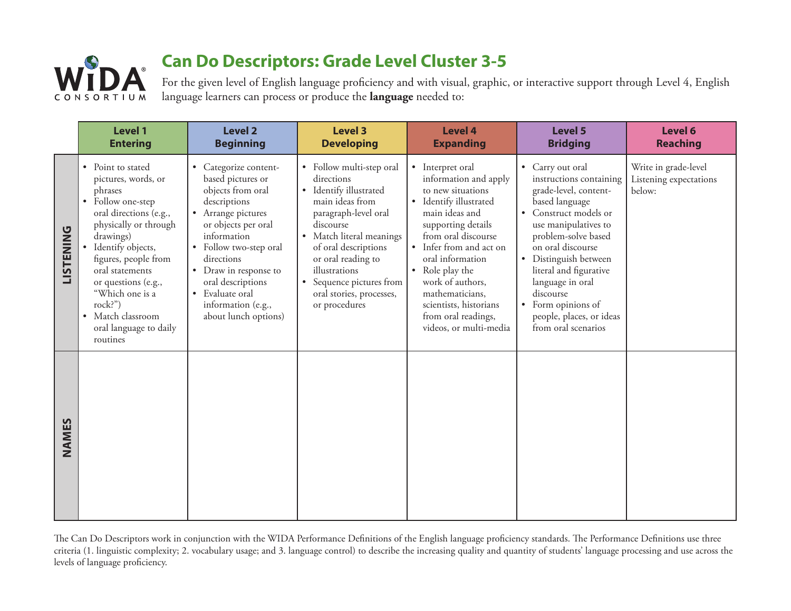

For the given level of English language proficiency and with visual, graphic, or interactive support through Level 4, English language learners can process or produce the **language** needed to:

|                  | <b>Level 1</b><br><b>Entering</b>                                                                                                                                                                                                                                                                                                            | <b>Level 2</b><br><b>Beginning</b>                                                                                                                                                                                                                                                                                       | <b>Level 3</b><br><b>Developing</b>                                                                                                                                                                                                                                                                     | <b>Level 4</b><br><b>Expanding</b>                                                                                                                                                                                                                                                                                                          | <b>Level 5</b><br><b>Bridging</b>                                                                                                                                                                                                                                                                                                                                      | Level 6<br><b>Reaching</b>                               |
|------------------|----------------------------------------------------------------------------------------------------------------------------------------------------------------------------------------------------------------------------------------------------------------------------------------------------------------------------------------------|--------------------------------------------------------------------------------------------------------------------------------------------------------------------------------------------------------------------------------------------------------------------------------------------------------------------------|---------------------------------------------------------------------------------------------------------------------------------------------------------------------------------------------------------------------------------------------------------------------------------------------------------|---------------------------------------------------------------------------------------------------------------------------------------------------------------------------------------------------------------------------------------------------------------------------------------------------------------------------------------------|------------------------------------------------------------------------------------------------------------------------------------------------------------------------------------------------------------------------------------------------------------------------------------------------------------------------------------------------------------------------|----------------------------------------------------------|
| <b>LISTENING</b> | Point to stated<br>$\bullet$<br>pictures, words, or<br>phrases<br>Follow one-step<br>$\bullet$<br>oral directions (e.g.,<br>physically or through<br>drawings)<br>Identify objects,<br>figures, people from<br>oral statements<br>or questions (e.g.,<br>"Which one is a<br>rock?")<br>Match classroom<br>oral language to daily<br>routines | Categorize content-<br>$\bullet$<br>based pictures or<br>objects from oral<br>descriptions<br>• Arrange pictures<br>or objects per oral<br>information<br>• Follow two-step oral<br>directions<br>Draw in response to<br>$\bullet$<br>oral descriptions<br>• Evaluate oral<br>information (e.g.,<br>about lunch options) | • Follow multi-step oral<br>directions<br>• Identify illustrated<br>main ideas from<br>paragraph-level oral<br>discourse<br>• Match literal meanings<br>of oral descriptions<br>or oral reading to<br>illustrations<br>Sequence pictures from<br>$\bullet$<br>oral stories, processes,<br>or procedures | • Interpret oral<br>information and apply<br>to new situations<br>• Identify illustrated<br>main ideas and<br>supporting details<br>from oral discourse<br>• Infer from and act on<br>oral information<br>• Role play the<br>work of authors,<br>mathematicians,<br>scientists, historians<br>from oral readings,<br>videos, or multi-media | • Carry out oral<br>instructions containing<br>grade-level, content-<br>based language<br>Construct models or<br>$\bullet$<br>use manipulatives to<br>problem-solve based<br>on oral discourse<br>• Distinguish between<br>literal and figurative<br>language in oral<br>discourse<br>Form opinions of<br>$\bullet$<br>people, places, or ideas<br>from oral scenarios | Write in grade-level<br>Listening expectations<br>below: |
| NAMES            |                                                                                                                                                                                                                                                                                                                                              |                                                                                                                                                                                                                                                                                                                          |                                                                                                                                                                                                                                                                                                         |                                                                                                                                                                                                                                                                                                                                             |                                                                                                                                                                                                                                                                                                                                                                        |                                                          |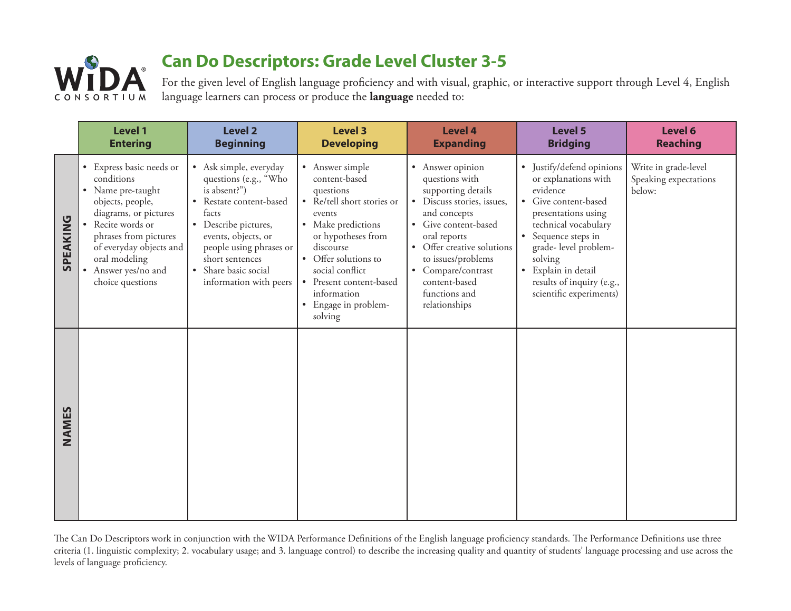

For the given level of English language proficiency and with visual, graphic, or interactive support through Level 4, English language learners can process or produce the **language** needed to:

|          | <b>Level 1</b><br><b>Entering</b>                                                                                                                                                                                                                                 | <b>Level 2</b><br><b>Beginning</b>                                                                                                                                                                                                                            | <b>Level 3</b><br><b>Developing</b>                                                                                                                                                                                                                                    | <b>Level 4</b><br><b>Expanding</b>                                                                                                                                                                                                                                          | <b>Level 5</b><br><b>Bridging</b>                                                                                                                                                                                                                                                                               | Level 6<br><b>Reaching</b>                              |
|----------|-------------------------------------------------------------------------------------------------------------------------------------------------------------------------------------------------------------------------------------------------------------------|---------------------------------------------------------------------------------------------------------------------------------------------------------------------------------------------------------------------------------------------------------------|------------------------------------------------------------------------------------------------------------------------------------------------------------------------------------------------------------------------------------------------------------------------|-----------------------------------------------------------------------------------------------------------------------------------------------------------------------------------------------------------------------------------------------------------------------------|-----------------------------------------------------------------------------------------------------------------------------------------------------------------------------------------------------------------------------------------------------------------------------------------------------------------|---------------------------------------------------------|
| SPEAKING | Express basic needs or<br>conditions<br>• Name pre-taught<br>objects, people,<br>diagrams, or pictures<br>Recite words or<br>$\bullet$<br>phrases from pictures<br>of everyday objects and<br>oral modeling<br>Answer yes/no and<br>$\bullet$<br>choice questions | • Ask simple, everyday<br>questions (e.g., "Who<br>is absent?")<br>• Restate content-based<br>facts<br>• Describe pictures,<br>events, objects, or<br>people using phrases or<br>short sentences<br>Share basic social<br>$\bullet$<br>information with peers | • Answer simple<br>content-based<br>questions<br>• Re/tell short stories or<br>events<br>• Make predictions<br>or hypotheses from<br>discourse<br>• Offer solutions to<br>social conflict<br>• Present content-based<br>information<br>• Engage in problem-<br>solving | • Answer opinion<br>questions with<br>supporting details<br>• Discuss stories, issues,<br>and concepts<br>• Give content-based<br>oral reports<br>• Offer creative solutions<br>to issues/problems<br>• Compare/contrast<br>content-based<br>functions and<br>relationships | Justify/defend opinions<br>$\bullet$<br>or explanations with<br>evidence<br>• Give content-based<br>presentations using<br>technical vocabulary<br>Sequence steps in<br>$\bullet$<br>grade- level problem-<br>solving<br>Explain in detail<br>$\bullet$<br>results of inquiry (e.g.,<br>scientific experiments) | Write in grade-level<br>Speaking expectations<br>below: |
| NAMES    |                                                                                                                                                                                                                                                                   |                                                                                                                                                                                                                                                               |                                                                                                                                                                                                                                                                        |                                                                                                                                                                                                                                                                             |                                                                                                                                                                                                                                                                                                                 |                                                         |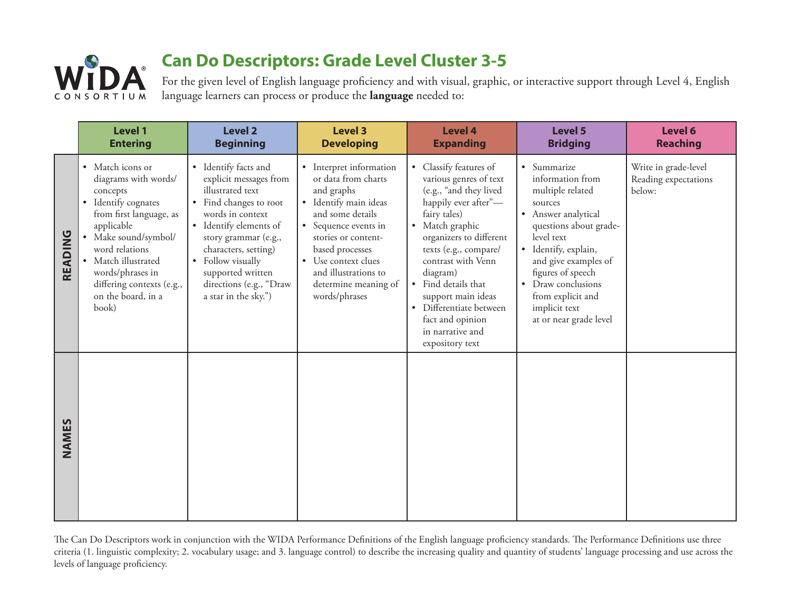

For the given level of English language proficiency and with visual, graphic, or interactive support through Level 4, English language learners can process or produce the **language** needed to:

|         | <b>Level 1</b><br><b>Entering</b>                                                                                                                                                                                                                                   | <b>Level 2</b><br><b>Beginning</b>                                                                                                                                                                                                                                                      | <b>Level 3</b><br><b>Developing</b>                                                                                                                                                                                                                                 | <b>Level 4</b><br><b>Expanding</b>                                                                                                                                                                                                                                                                                                                           | <b>Level 5</b><br><b>Bridging</b>                                                                                                                                                                                                                                                                   | Level 6<br><b>Reaching</b>                             |
|---------|---------------------------------------------------------------------------------------------------------------------------------------------------------------------------------------------------------------------------------------------------------------------|-----------------------------------------------------------------------------------------------------------------------------------------------------------------------------------------------------------------------------------------------------------------------------------------|---------------------------------------------------------------------------------------------------------------------------------------------------------------------------------------------------------------------------------------------------------------------|--------------------------------------------------------------------------------------------------------------------------------------------------------------------------------------------------------------------------------------------------------------------------------------------------------------------------------------------------------------|-----------------------------------------------------------------------------------------------------------------------------------------------------------------------------------------------------------------------------------------------------------------------------------------------------|--------------------------------------------------------|
| READING | • Match icons or<br>diagrams with words/<br>concepts<br>• Identify cognates<br>from first language, as<br>applicable<br>Make sound/symbol/<br>word relations<br>• Match illustrated<br>words/phrases in<br>differing contexts (e.g.,<br>on the board, in a<br>book) | • Identify facts and<br>explicit messages from<br>illustrated text<br>• Find changes to root<br>words in context<br>• Identify elements of<br>story grammar (e.g.,<br>characters, setting)<br>• Follow visually<br>supported written<br>directions (e.g., "Draw<br>a star in the sky.") | • Interpret information<br>or data from charts<br>and graphs<br>· Identify main ideas<br>and some details<br>• Sequence events in<br>stories or content-<br>based processes<br>• Use context clues<br>and illustrations to<br>determine meaning of<br>words/phrases | • Classify features of<br>various genres of text<br>(e.g., "and they lived<br>happily ever after"-<br>fairy tales)<br>• Match graphic<br>organizers to different<br>texts (e.g., compare/<br>contrast with Venn<br>diagram)<br>• Find details that<br>support main ideas<br>Differentiate between<br>fact and opinion<br>in narrative and<br>expository text | • Summarize<br>information from<br>multiple related<br>sources<br>• Answer analytical<br>questions about grade-<br>level text<br>· Identify, explain,<br>and give examples of<br>figures of speech<br>Draw conclusions<br>$\bullet$<br>from explicit and<br>implicit text<br>at or near grade level | Write in grade-level<br>Reading expectations<br>below: |
| NAMES   |                                                                                                                                                                                                                                                                     |                                                                                                                                                                                                                                                                                         |                                                                                                                                                                                                                                                                     |                                                                                                                                                                                                                                                                                                                                                              |                                                                                                                                                                                                                                                                                                     |                                                        |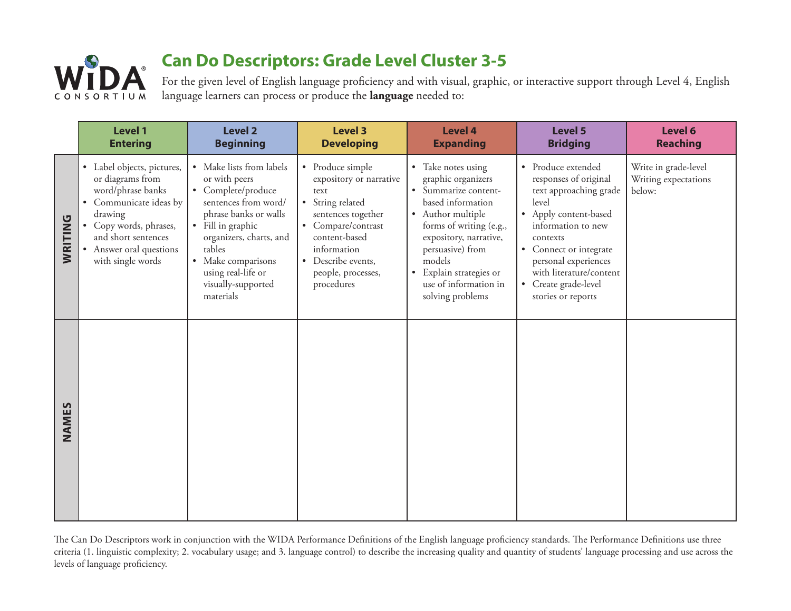

For the given level of English language proficiency and with visual, graphic, or interactive support through Level 4, English language learners can process or produce the **language** needed to:

|                | <b>Level 1</b><br><b>Entering</b>                                                                                                                                                                                             | <b>Level 2</b><br><b>Beginning</b>                                                                                                                                                                                                                        | <b>Level 3</b><br><b>Developing</b>                                                                                                                                                                           | <b>Level 4</b><br><b>Expanding</b>                                                                                                                                                                                                                                                          | <b>Level 5</b><br><b>Bridging</b>                                                                                                                                                                                                                                                          | Level 6<br><b>Reaching</b>                             |
|----------------|-------------------------------------------------------------------------------------------------------------------------------------------------------------------------------------------------------------------------------|-----------------------------------------------------------------------------------------------------------------------------------------------------------------------------------------------------------------------------------------------------------|---------------------------------------------------------------------------------------------------------------------------------------------------------------------------------------------------------------|---------------------------------------------------------------------------------------------------------------------------------------------------------------------------------------------------------------------------------------------------------------------------------------------|--------------------------------------------------------------------------------------------------------------------------------------------------------------------------------------------------------------------------------------------------------------------------------------------|--------------------------------------------------------|
| <b>WRITING</b> | • Label objects, pictures,<br>or diagrams from<br>word/phrase banks<br>Communicate ideas by<br>$\bullet$<br>drawing<br>Copy words, phrases,<br>$\bullet$<br>and short sentences<br>Answer oral questions<br>with single words | • Make lists from labels<br>or with peers<br>• Complete/produce<br>sentences from word/<br>phrase banks or walls<br>• Fill in graphic<br>organizers, charts, and<br>tables<br>• Make comparisons<br>using real-life or<br>visually-supported<br>materials | • Produce simple<br>expository or narrative<br>text<br>• String related<br>sentences together<br>• Compare/contrast<br>content-based<br>information<br>• Describe events,<br>people, processes,<br>procedures | • Take notes using<br>graphic organizers<br>Summarize content-<br>$\bullet$<br>based information<br>• Author multiple<br>forms of writing (e.g.,<br>expository, narrative,<br>persuasive) from<br>models<br>Explain strategies or<br>$\bullet$<br>use of information in<br>solving problems | • Produce extended<br>responses of original<br>text approaching grade<br>level<br>• Apply content-based<br>information to new<br>contexts<br>Connect or integrate<br>$\bullet$<br>personal experiences<br>with literature/content<br>Create grade-level<br>$\bullet$<br>stories or reports | Write in grade-level<br>Writing expectations<br>below: |
| NAMES          |                                                                                                                                                                                                                               |                                                                                                                                                                                                                                                           |                                                                                                                                                                                                               |                                                                                                                                                                                                                                                                                             |                                                                                                                                                                                                                                                                                            |                                                        |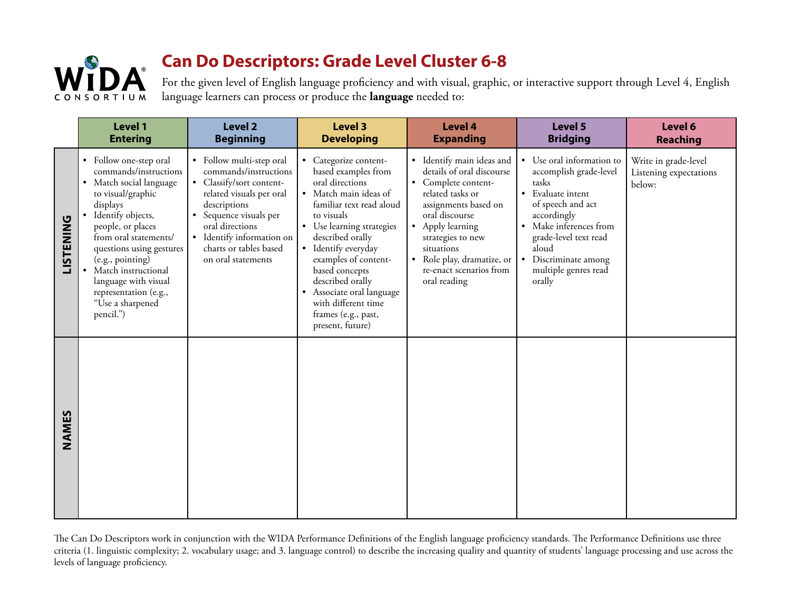

For the given level of English language proficiency and with visual, graphic, or interactive support through Level 4, English language learners can process or produce the **language** needed to:

|                  | Level 1<br><b>Entering</b>                                                                                                                                                                                                                                                                                                                  | <b>Level 2</b><br><b>Beginning</b>                                                                                                                                                                                                                  | <b>Level 3</b><br><b>Developing</b>                                                                                                                                                                                                                                                                                                                                     | <b>Level 4</b><br><b>Expanding</b>                                                                                                                                                                                                                                          | Level 5<br><b>Bridging</b>                                                                                                                                                                                                                             | Level 6<br>Reaching                                      |
|------------------|---------------------------------------------------------------------------------------------------------------------------------------------------------------------------------------------------------------------------------------------------------------------------------------------------------------------------------------------|-----------------------------------------------------------------------------------------------------------------------------------------------------------------------------------------------------------------------------------------------------|-------------------------------------------------------------------------------------------------------------------------------------------------------------------------------------------------------------------------------------------------------------------------------------------------------------------------------------------------------------------------|-----------------------------------------------------------------------------------------------------------------------------------------------------------------------------------------------------------------------------------------------------------------------------|--------------------------------------------------------------------------------------------------------------------------------------------------------------------------------------------------------------------------------------------------------|----------------------------------------------------------|
| <b>LISTENING</b> | • Follow one-step oral<br>commands/instructions<br>• Match social language<br>to visual/graphic<br>displays<br>· Identify objects,<br>people, or places<br>from oral statements/<br>questions using gestures<br>(e.g., pointing)<br>• Match instructional<br>language with visual<br>representation (e.g.,<br>"Use a sharpened<br>pencil.") | • Follow multi-step oral<br>commands/instructions<br>• Classify/sort content-<br>related visuals per oral<br>descriptions<br>• Sequence visuals per<br>oral directions<br>· Identify information on<br>charts or tables based<br>on oral statements | • Categorize content-<br>based examples from<br>oral directions<br>· Match main ideas of<br>familiar text read aloud<br>to visuals<br>• Use learning strategies<br>described orally<br>• Identify everyday<br>examples of content-<br>based concepts<br>described orally<br>• Associate oral language<br>with different time<br>frames (e.g., past,<br>present, future) | · Identify main ideas and<br>details of oral discourse<br>• Complete content-<br>related tasks or<br>assignments based on<br>oral discourse<br>• Apply learning<br>strategies to new<br>situations<br>• Role play, dramatize, or<br>re-enact scenarios from<br>oral reading | • Use oral information to<br>accomplish grade-level<br>tasks<br>• Evaluate intent<br>of speech and act<br>accordingly<br>• Make inferences from<br>grade-level text read<br>aloud<br>Discriminate among<br>$\bullet$<br>multiple genres read<br>orally | Write in grade-level<br>Listening expectations<br>below: |
| NAMES            |                                                                                                                                                                                                                                                                                                                                             |                                                                                                                                                                                                                                                     |                                                                                                                                                                                                                                                                                                                                                                         |                                                                                                                                                                                                                                                                             |                                                                                                                                                                                                                                                        |                                                          |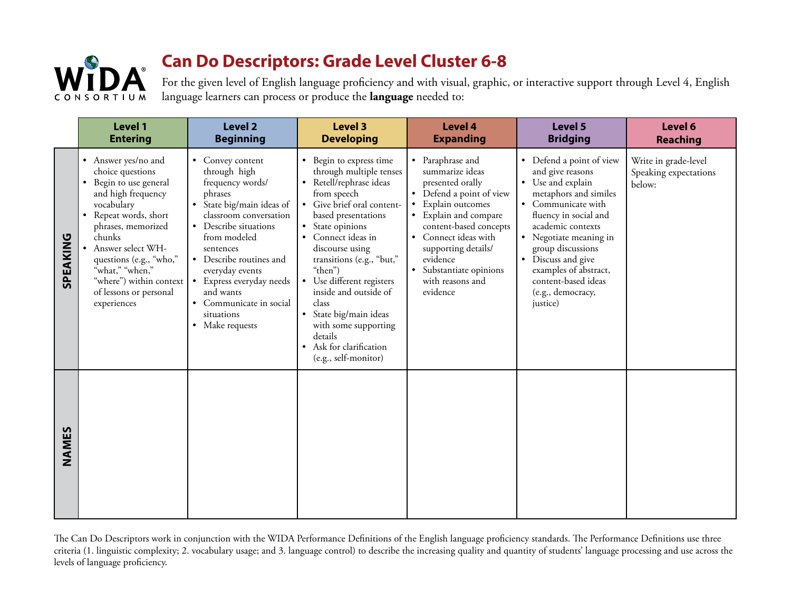

For the given level of English language proficiency and with visual, graphic, or interactive support through Level 4, English language learners can process or produce the **language** needed to:

|          | Level 1<br><b>Entering</b>                                                                                                                                                                                                                                                                              | <b>Level 2</b><br><b>Beginning</b>                                                                                                                                                                                                                                                                                              | <b>Level 3</b><br><b>Developing</b>                                                                                                                                                                                                                                                                                                                                                                                                              | <b>Level 4</b><br><b>Expanding</b>                                                                                                                                                                                                                                               | Level 5<br><b>Bridging</b>                                                                                                                                                                                                                                                                                           | Level 6<br>Reaching                                     |
|----------|---------------------------------------------------------------------------------------------------------------------------------------------------------------------------------------------------------------------------------------------------------------------------------------------------------|---------------------------------------------------------------------------------------------------------------------------------------------------------------------------------------------------------------------------------------------------------------------------------------------------------------------------------|--------------------------------------------------------------------------------------------------------------------------------------------------------------------------------------------------------------------------------------------------------------------------------------------------------------------------------------------------------------------------------------------------------------------------------------------------|----------------------------------------------------------------------------------------------------------------------------------------------------------------------------------------------------------------------------------------------------------------------------------|----------------------------------------------------------------------------------------------------------------------------------------------------------------------------------------------------------------------------------------------------------------------------------------------------------------------|---------------------------------------------------------|
| SPEAKING | • Answer yes/no and<br>choice questions<br>• Begin to use general<br>and high frequency<br>vocabulary<br>• Repeat words, short<br>phrases, memorized<br>chunks<br>• Answer select WH-<br>questions (e.g., "who,"<br>"what," "when,"<br>"where") within context<br>of lessons or personal<br>experiences | • Convey content<br>through high<br>frequency words/<br>phrases<br>• State big/main ideas of<br>classroom conversation<br>• Describe situations<br>from modeled<br>sentences<br>• Describe routines and<br>everyday events<br>• Express everyday needs<br>and wants<br>• Communicate in social<br>situations<br>• Make requests | • Begin to express time<br>through multiple tenses<br>• Retell/rephrase ideas<br>from speech<br>• Give brief oral content-<br>based presentations<br>• State opinions<br>• Connect ideas in<br>discourse using<br>transitions (e.g., "but,"<br>"then")<br>• Use different registers<br>inside and outside of<br>class<br>· State big/main ideas<br>with some supporting<br>details<br>Ask for clarification<br>$\bullet$<br>(e.g., self-monitor) | • Paraphrase and<br>summarize ideas<br>presented orally<br>• Defend a point of view<br>Explain outcomes<br>• Explain and compare<br>content-based concepts<br>• Connect ideas with<br>supporting details/<br>evidence<br>• Substantiate opinions<br>with reasons and<br>evidence | • Defend a point of view<br>and give reasons<br>• Use and explain<br>metaphors and similes<br>• Communicate with<br>fluency in social and<br>academic contexts<br>• Negotiate meaning in<br>group discussions<br>• Discuss and give<br>examples of abstract,<br>content-based ideas<br>(e.g., democracy,<br>justice) | Write in grade-level<br>Speaking expectations<br>below: |
| NAMES    |                                                                                                                                                                                                                                                                                                         |                                                                                                                                                                                                                                                                                                                                 |                                                                                                                                                                                                                                                                                                                                                                                                                                                  |                                                                                                                                                                                                                                                                                  |                                                                                                                                                                                                                                                                                                                      |                                                         |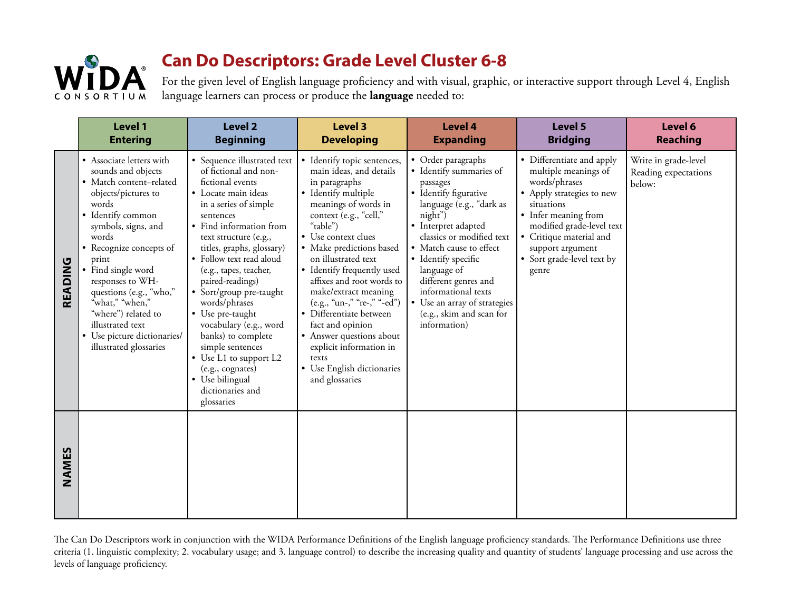

For the given level of English language proficiency and with visual, graphic, or interactive support through Level 4, English language learners can process or produce the **language** needed to:

|         | Level 1<br><b>Entering</b>                                                                                                                                                                                                                                                                                                                                                                     | <b>Level 2</b><br><b>Beginning</b>                                                                                                                                                                                                                                                                                                                                                                                                                                                                                                      | <b>Level 3</b><br><b>Developing</b>                                                                                                                                                                                                                                                                                                                                                                                                                                                                                     | <b>Level 4</b><br><b>Expanding</b>                                                                                                                                                                                                                                                                                                                                        | Level 5<br><b>Bridging</b>                                                                                                                                                                                                                               | Level 6<br><b>Reaching</b>                             |
|---------|------------------------------------------------------------------------------------------------------------------------------------------------------------------------------------------------------------------------------------------------------------------------------------------------------------------------------------------------------------------------------------------------|-----------------------------------------------------------------------------------------------------------------------------------------------------------------------------------------------------------------------------------------------------------------------------------------------------------------------------------------------------------------------------------------------------------------------------------------------------------------------------------------------------------------------------------------|-------------------------------------------------------------------------------------------------------------------------------------------------------------------------------------------------------------------------------------------------------------------------------------------------------------------------------------------------------------------------------------------------------------------------------------------------------------------------------------------------------------------------|---------------------------------------------------------------------------------------------------------------------------------------------------------------------------------------------------------------------------------------------------------------------------------------------------------------------------------------------------------------------------|----------------------------------------------------------------------------------------------------------------------------------------------------------------------------------------------------------------------------------------------------------|--------------------------------------------------------|
| READING | • Associate letters with<br>sounds and objects<br>· Match content-related<br>objects/pictures to<br>words<br>• Identify common<br>symbols, signs, and<br>words<br>• Recognize concepts of<br>print<br>• Find single word<br>responses to WH-<br>questions (e.g., "who,"<br>"what," "when,"<br>"where") related to<br>illustrated text<br>• Use picture dictionaries/<br>illustrated glossaries | • Sequence illustrated text<br>of fictional and non-<br>fictional events<br>• Locate main ideas<br>in a series of simple<br>sentences<br>• Find information from<br>text structure (e.g.,<br>titles, graphs, glossary)<br>· Follow text read aloud<br>(e.g., tapes, teacher,<br>paired-readings)<br>• Sort/group pre-taught<br>words/phrases<br>• Use pre-taught<br>vocabulary (e.g., word<br>banks) to complete<br>simple sentences<br>• Use L1 to support L2<br>(e.g., cognates)<br>• Use bilingual<br>dictionaries and<br>glossaries | • Identify topic sentences,<br>main ideas, and details<br>in paragraphs<br>• Identify multiple<br>meanings of words in<br>context (e.g., "cell,"<br>"table")<br>• Use context clues<br>• Make predictions based<br>on illustrated text<br>• Identify frequently used<br>affixes and root words to<br>make/extract meaning<br>(e.g., "un-," "re-," "-ed")<br>· Differentiate between<br>fact and opinion<br>• Answer questions about<br>explicit information in<br>texts<br>• Use English dictionaries<br>and glossaries | • Order paragraphs<br>• Identify summaries of<br>passages<br>• Identify figurative<br>language (e.g., "dark as<br>night")<br>• Interpret adapted<br>classics or modified text<br>• Match cause to effect<br>• Identify specific<br>language of<br>different genres and<br>informational texts<br>• Use an array of strategies<br>(e.g., skim and scan for<br>information) | • Differentiate and apply<br>multiple meanings of<br>words/phrases<br>• Apply strategies to new<br>situations<br>• Infer meaning from<br>modified grade-level text<br>• Critique material and<br>support argument<br>• Sort grade-level text by<br>genre | Write in grade-level<br>Reading expectations<br>below: |
| NAMES   |                                                                                                                                                                                                                                                                                                                                                                                                |                                                                                                                                                                                                                                                                                                                                                                                                                                                                                                                                         |                                                                                                                                                                                                                                                                                                                                                                                                                                                                                                                         |                                                                                                                                                                                                                                                                                                                                                                           |                                                                                                                                                                                                                                                          |                                                        |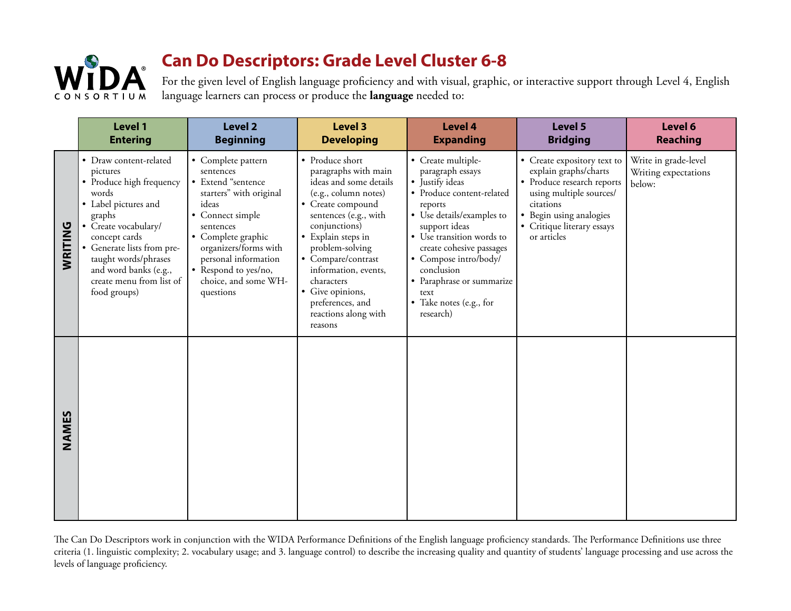

For the given level of English language proficiency and with visual, graphic, or interactive support through Level 4, English language learners can process or produce the **language** needed to:

|         | Level 1<br><b>Entering</b>                                                                                                                                                                                                                                                    | <b>Level 2</b><br><b>Beginning</b>                                                                                                                                                                                                                             | <b>Level 3</b><br><b>Developing</b>                                                                                                                                                                                                                                                                                                      | <b>Level 4</b><br><b>Expanding</b>                                                                                                                                                                                                                                                                                           | Level 5<br><b>Bridging</b>                                                                                                                                                                         | Level 6<br><b>Reaching</b>                             |
|---------|-------------------------------------------------------------------------------------------------------------------------------------------------------------------------------------------------------------------------------------------------------------------------------|----------------------------------------------------------------------------------------------------------------------------------------------------------------------------------------------------------------------------------------------------------------|------------------------------------------------------------------------------------------------------------------------------------------------------------------------------------------------------------------------------------------------------------------------------------------------------------------------------------------|------------------------------------------------------------------------------------------------------------------------------------------------------------------------------------------------------------------------------------------------------------------------------------------------------------------------------|----------------------------------------------------------------------------------------------------------------------------------------------------------------------------------------------------|--------------------------------------------------------|
| WRITING | • Draw content-related<br>pictures<br>• Produce high frequency<br>words<br>• Label pictures and<br>graphs<br>• Create vocabulary/<br>concept cards<br>• Generate lists from pre-<br>taught words/phrases<br>and word banks (e.g.,<br>create menu from list of<br>food groups) | • Complete pattern<br>sentences<br>• Extend "sentence<br>starters" with original<br>ideas<br>• Connect simple<br>sentences<br>• Complete graphic<br>organizers/forms with<br>personal information<br>• Respond to yes/no,<br>choice, and some WH-<br>questions | • Produce short<br>paragraphs with main<br>ideas and some details<br>(e.g., column notes)<br>• Create compound<br>sentences (e.g., with<br>conjunctions)<br>• Explain steps in<br>problem-solving<br>• Compare/contrast<br>information, events,<br>characters<br>• Give opinions,<br>preferences, and<br>reactions along with<br>reasons | • Create multiple-<br>paragraph essays<br>• Justify ideas<br>· Produce content-related<br>reports<br>• Use details/examples to<br>support ideas<br>• Use transition words to<br>create cohesive passages<br>• Compose intro/body/<br>conclusion<br>• Paraphrase or summarize<br>text<br>• Take notes (e.g., for<br>research) | • Create expository text to<br>explain graphs/charts<br>• Produce research reports<br>using multiple sources/<br>citations<br>• Begin using analogies<br>• Critique literary essays<br>or articles | Write in grade-level<br>Writing expectations<br>below: |
| NAMES   |                                                                                                                                                                                                                                                                               |                                                                                                                                                                                                                                                                |                                                                                                                                                                                                                                                                                                                                          |                                                                                                                                                                                                                                                                                                                              |                                                                                                                                                                                                    |                                                        |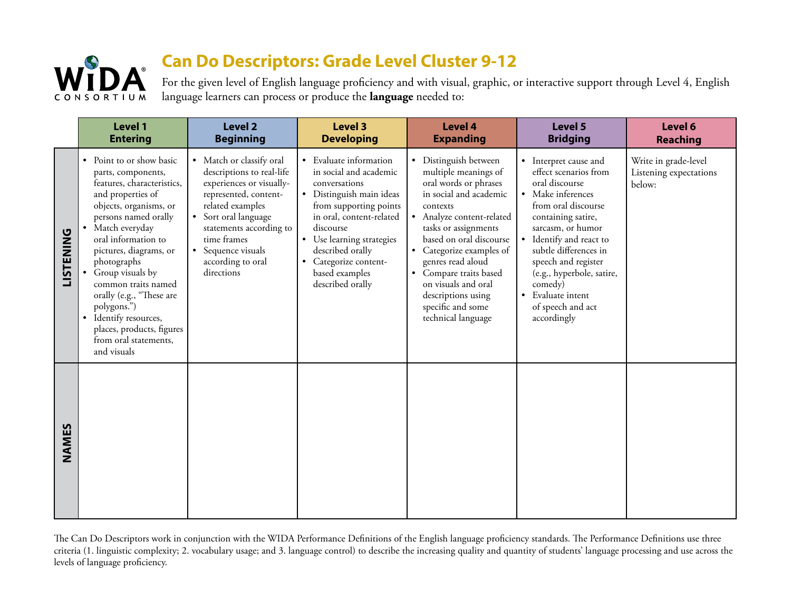

For the given level of English language proficiency and with visual, graphic, or interactive support through Level 4, English language learners can process or produce the **language** needed to:

|                  | Level 1<br><b>Entering</b>                                                                                                                                                                                                                                                                                                                                                                                                    | Level 2<br><b>Beginning</b>                                                                                                                                                                                                                               | <b>Level 3</b><br><b>Developing</b>                                                                                                                                                                                                                                              | <b>Level 4</b><br><b>Expanding</b>                                                                                                                                                                                                                                                                                                                              | Level 5<br><b>Bridging</b>                                                                                                                                                                                                                                                                                                          | Level 6<br><b>Reaching</b>                               |
|------------------|-------------------------------------------------------------------------------------------------------------------------------------------------------------------------------------------------------------------------------------------------------------------------------------------------------------------------------------------------------------------------------------------------------------------------------|-----------------------------------------------------------------------------------------------------------------------------------------------------------------------------------------------------------------------------------------------------------|----------------------------------------------------------------------------------------------------------------------------------------------------------------------------------------------------------------------------------------------------------------------------------|-----------------------------------------------------------------------------------------------------------------------------------------------------------------------------------------------------------------------------------------------------------------------------------------------------------------------------------------------------------------|-------------------------------------------------------------------------------------------------------------------------------------------------------------------------------------------------------------------------------------------------------------------------------------------------------------------------------------|----------------------------------------------------------|
| <b>LISTENING</b> | • Point to or show basic<br>parts, components,<br>features, characteristics,<br>and properties of<br>objects, organisms, or<br>persons named orally<br>• Match everyday<br>oral information to<br>pictures, diagrams, or<br>photographs<br>• Group visuals by<br>common traits named<br>orally (e.g., "These are<br>polygons.")<br>· Identify resources,<br>places, products, figures<br>from oral statements,<br>and visuals | • Match or classify oral<br>descriptions to real-life<br>experiences or visually-<br>represented, content-<br>related examples<br>• Sort oral language<br>statements according to<br>time frames<br>• Sequence visuals<br>according to oral<br>directions | • Evaluate information<br>in social and academic<br>conversations<br>· Distinguish main ideas<br>from supporting points<br>in oral, content-related<br>discourse<br>• Use learning strategies<br>described orally<br>• Categorize content-<br>based examples<br>described orally | • Distinguish between<br>multiple meanings of<br>oral words or phrases<br>in social and academic<br>contexts<br>• Analyze content-related<br>tasks or assignments<br>based on oral discourse<br>• Categorize examples of<br>genres read aloud<br>• Compare traits based<br>on visuals and oral<br>descriptions using<br>specific and some<br>technical language | • Interpret cause and<br>effect scenarios from<br>oral discourse<br>• Make inferences<br>from oral discourse<br>containing satire,<br>sarcasm, or humor<br>• Identify and react to<br>subtle differences in<br>speech and register<br>(e.g., hyperbole, satire,<br>comedy)<br>• Evaluate intent<br>of speech and act<br>accordingly | Write in grade-level<br>Listening expectations<br>below: |
| NAMES            |                                                                                                                                                                                                                                                                                                                                                                                                                               |                                                                                                                                                                                                                                                           |                                                                                                                                                                                                                                                                                  |                                                                                                                                                                                                                                                                                                                                                                 |                                                                                                                                                                                                                                                                                                                                     |                                                          |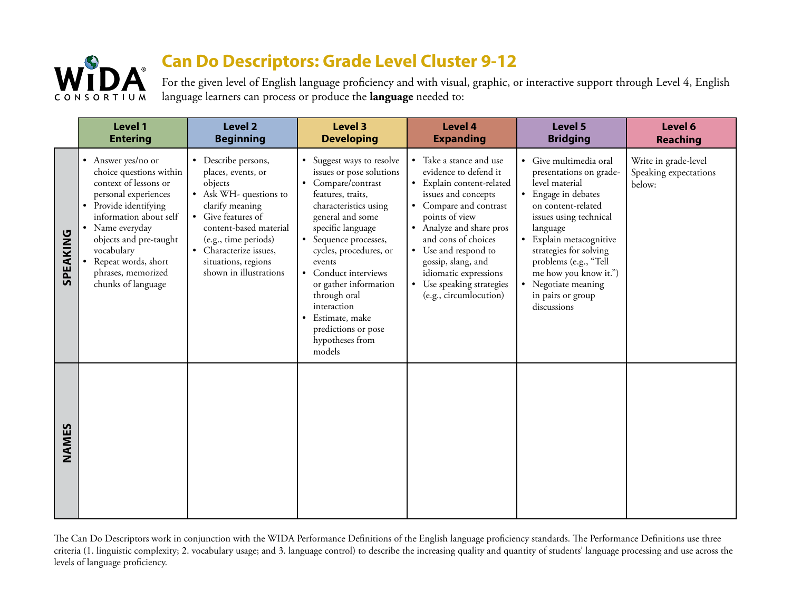

For the given level of English language proficiency and with visual, graphic, or interactive support through Level 4, English language learners can process or produce the **language** needed to:

|          | Level 1<br><b>Entering</b>                                                                                                                                                                                                                                                      | Level 2<br><b>Beginning</b>                                                                                                                                                                                                                          | <b>Level 3</b><br><b>Developing</b>                                                                                                                                                                                                                                                                                                                                                     | <b>Level 4</b><br><b>Expanding</b>                                                                                                                                                                                                                                                                                                | Level 5<br><b>Bridging</b>                                                                                                                                                                                                                                                                                                        | Level 6<br>Reaching                                     |
|----------|---------------------------------------------------------------------------------------------------------------------------------------------------------------------------------------------------------------------------------------------------------------------------------|------------------------------------------------------------------------------------------------------------------------------------------------------------------------------------------------------------------------------------------------------|-----------------------------------------------------------------------------------------------------------------------------------------------------------------------------------------------------------------------------------------------------------------------------------------------------------------------------------------------------------------------------------------|-----------------------------------------------------------------------------------------------------------------------------------------------------------------------------------------------------------------------------------------------------------------------------------------------------------------------------------|-----------------------------------------------------------------------------------------------------------------------------------------------------------------------------------------------------------------------------------------------------------------------------------------------------------------------------------|---------------------------------------------------------|
| SPEAKING | • Answer yes/no or<br>choice questions within<br>context of lessons or<br>personal experiences<br>• Provide identifying<br>information about self<br>• Name everyday<br>objects and pre-taught<br>vocabulary<br>Repeat words, short<br>phrases, memorized<br>chunks of language | • Describe persons,<br>places, events, or<br>objects<br>• Ask WH- questions to<br>clarify meaning<br>• Give features of<br>content-based material<br>(e.g., time periods)<br>• Characterize issues,<br>situations, regions<br>shown in illustrations | • Suggest ways to resolve<br>issues or pose solutions<br>• Compare/contrast<br>features, traits,<br>characteristics using<br>general and some<br>specific language<br>• Sequence processes,<br>cycles, procedures, or<br>events<br>• Conduct interviews<br>or gather information<br>through oral<br>interaction<br>• Estimate, make<br>predictions or pose<br>hypotheses from<br>models | • Take a stance and use<br>evidence to defend it<br>• Explain content-related<br>issues and concepts<br>• Compare and contrast<br>points of view<br>• Analyze and share pros<br>and cons of choices<br>• Use and respond to<br>gossip, slang, and<br>idiomatic expressions<br>• Use speaking strategies<br>(e.g., circumlocution) | • Give multimedia oral<br>presentations on grade-<br>level material<br>• Engage in debates<br>on content-related<br>issues using technical<br>language<br>Explain metacognitive<br>strategies for solving<br>problems (e.g., "Tell<br>me how you know it.")<br>Negotiate meaning<br>$\bullet$<br>in pairs or group<br>discussions | Write in grade-level<br>Speaking expectations<br>below: |
| NAMES    |                                                                                                                                                                                                                                                                                 |                                                                                                                                                                                                                                                      |                                                                                                                                                                                                                                                                                                                                                                                         |                                                                                                                                                                                                                                                                                                                                   |                                                                                                                                                                                                                                                                                                                                   |                                                         |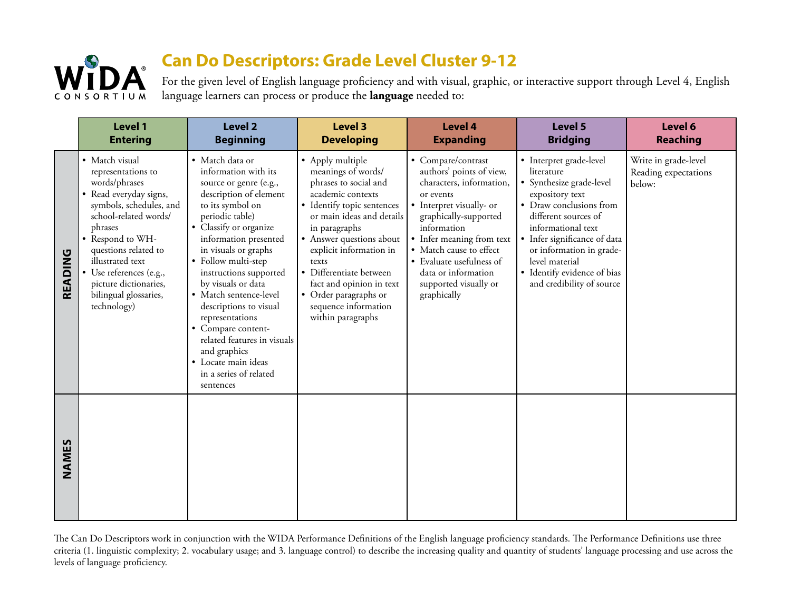

For the given level of English language proficiency and with visual, graphic, or interactive support through Level 4, English language learners can process or produce the **language** needed to:

|         | Level 1<br><b>Entering</b>                                                                                                                                                                                                                                                                                 | <b>Level 2</b><br><b>Beginning</b>                                                                                                                                                                                                                                                                                                                                                                                                                                                             | <b>Level 3</b><br><b>Developing</b>                                                                                                                                                                                                                                                                                                                           | <b>Level 4</b><br><b>Expanding</b>                                                                                                                                                                                                                                                                             | Level 5<br><b>Bridging</b>                                                                                                                                                                                                                                                                              | Level 6<br><b>Reaching</b>                             |
|---------|------------------------------------------------------------------------------------------------------------------------------------------------------------------------------------------------------------------------------------------------------------------------------------------------------------|------------------------------------------------------------------------------------------------------------------------------------------------------------------------------------------------------------------------------------------------------------------------------------------------------------------------------------------------------------------------------------------------------------------------------------------------------------------------------------------------|---------------------------------------------------------------------------------------------------------------------------------------------------------------------------------------------------------------------------------------------------------------------------------------------------------------------------------------------------------------|----------------------------------------------------------------------------------------------------------------------------------------------------------------------------------------------------------------------------------------------------------------------------------------------------------------|---------------------------------------------------------------------------------------------------------------------------------------------------------------------------------------------------------------------------------------------------------------------------------------------------------|--------------------------------------------------------|
| READING | • Match visual<br>representations to<br>words/phrases<br>• Read everyday signs,<br>symbols, schedules, and<br>school-related words/<br>phrases<br>• Respond to WH-<br>questions related to<br>illustrated text<br>• Use references (e.g.,<br>picture dictionaries,<br>bilingual glossaries,<br>technology) | · Match data or<br>information with its<br>source or genre (e.g.,<br>description of element<br>to its symbol on<br>periodic table)<br>• Classify or organize<br>information presented<br>in visuals or graphs<br>• Follow multi-step<br>instructions supported<br>by visuals or data<br>• Match sentence-level<br>descriptions to visual<br>representations<br>• Compare content-<br>related features in visuals<br>and graphics<br>· Locate main ideas<br>in a series of related<br>sentences | • Apply multiple<br>meanings of words/<br>phrases to social and<br>academic contexts<br>· Identify topic sentences<br>or main ideas and details<br>in paragraphs<br>• Answer questions about<br>explicit information in<br>texts<br>· Differentiate between<br>fact and opinion in text<br>• Order paragraphs or<br>sequence information<br>within paragraphs | • Compare/contrast<br>authors' points of view,<br>characters, information,<br>or events<br>• Interpret visually- or<br>graphically-supported<br>information<br>• Infer meaning from text<br>• Match cause to effect<br>• Evaluate usefulness of<br>data or information<br>supported visually or<br>graphically | • Interpret grade-level<br>literature<br>· Synthesize grade-level<br>expository text<br>• Draw conclusions from<br>different sources of<br>informational text<br>· Infer significance of data<br>or information in grade-<br>level material<br>• Identify evidence of bias<br>and credibility of source | Write in grade-level<br>Reading expectations<br>below: |
| NAMES   |                                                                                                                                                                                                                                                                                                            |                                                                                                                                                                                                                                                                                                                                                                                                                                                                                                |                                                                                                                                                                                                                                                                                                                                                               |                                                                                                                                                                                                                                                                                                                |                                                                                                                                                                                                                                                                                                         |                                                        |